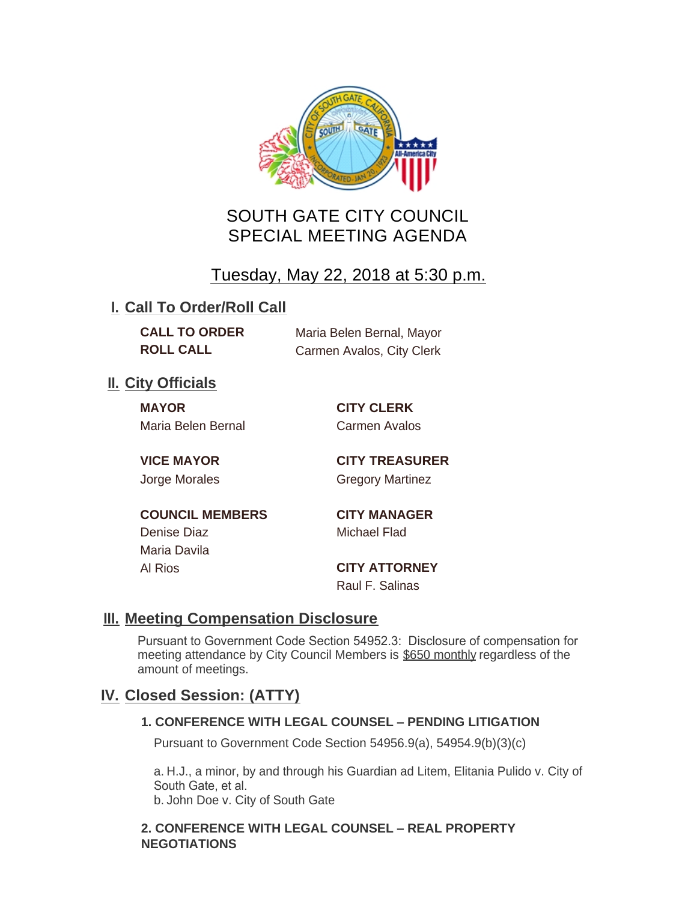

# SOUTH GATE CITY COUNCIL SPECIAL MEETING AGENDA

# Tuesday, May 22, 2018 at 5:30 p.m.

## **I. Call To Order/Roll Call**

| <b>CALL TO ORDER</b> | Maria Belen Bernal, Mayor |
|----------------------|---------------------------|
| <b>ROLL CALL</b>     | Carmen Avalos, City Clerk |

## **II.** City Officials

**MAYOR CITY CLERK** Maria Belen Bernal **Carmen Avalos** 

**VICE MAYOR CITY TREASURER** Jorge Morales Gregory Martinez

**COUNCIL MEMBERS CITY MANAGER** Denise Diaz Michael Flad Maria Davila

Al Rios **CITY ATTORNEY** Raul F. Salinas

### **Meeting Compensation Disclosure III.**

Pursuant to Government Code Section 54952.3: Disclosure of compensation for meeting attendance by City Council Members is \$650 monthly regardless of the amount of meetings.

# **Closed Session: (ATTY) IV.**

### **1. CONFERENCE WITH LEGAL COUNSEL – PENDING LITIGATION**

Pursuant to Government Code Section 54956.9(a), 54954.9(b)(3)(c)

a. H.J., a minor, by and through his Guardian ad Litem, Elitania Pulido v. City of South Gate, et al. b. John Doe v. City of South Gate

### **2. CONFERENCE WITH LEGAL COUNSEL – REAL PROPERTY NEGOTIATIONS**